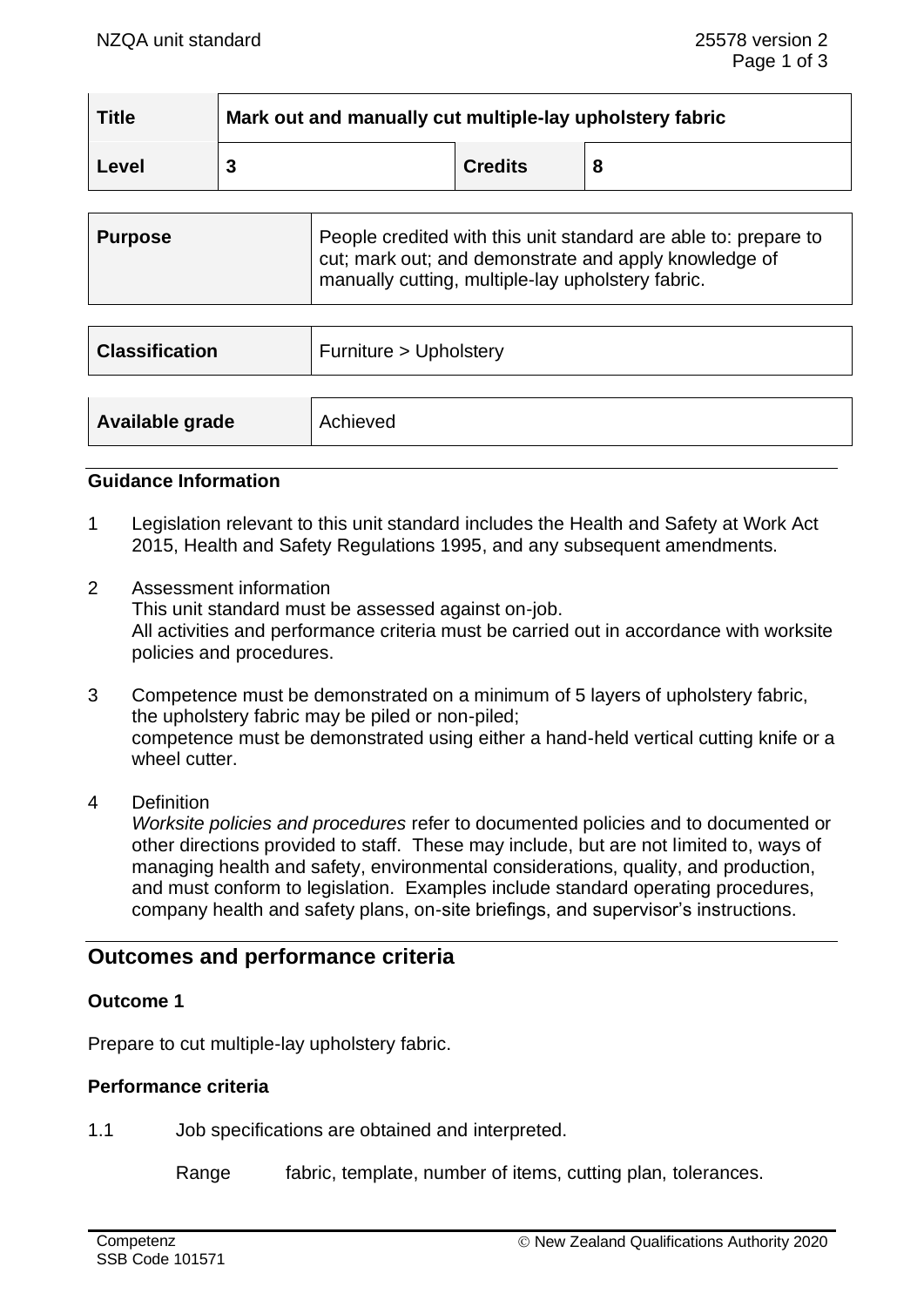| <b>Title</b> | Mark out and manually cut multiple-lay upholstery fabric |                |   |
|--------------|----------------------------------------------------------|----------------|---|
| Level        |                                                          | <b>Credits</b> | 8 |

| Purpose | People credited with this unit standard are able to: prepare to<br>cut; mark out; and demonstrate and apply knowledge of |
|---------|--------------------------------------------------------------------------------------------------------------------------|
|         | manually cutting, multiple-lay upholstery fabric.                                                                        |

| <b>Classification</b> | Furniture > Upholstery |
|-----------------------|------------------------|
| Available grade       | Achieved               |

#### **Guidance Information**

- 1 Legislation relevant to this unit standard includes the Health and Safety at Work Act 2015, Health and Safety Regulations 1995, and any subsequent amendments.
- 2 Assessment information This unit standard must be assessed against on-job. All activities and performance criteria must be carried out in accordance with worksite policies and procedures.
- 3 Competence must be demonstrated on a minimum of 5 layers of upholstery fabric, the upholstery fabric may be piled or non-piled; competence must be demonstrated using either a hand-held vertical cutting knife or a wheel cutter
- 4 Definition

*Worksite policies and procedures* refer to documented policies and to documented or other directions provided to staff. These may include, but are not limited to, ways of managing health and safety, environmental considerations, quality, and production, and must conform to legislation. Examples include standard operating procedures, company health and safety plans, on-site briefings, and supervisor's instructions.

# **Outcomes and performance criteria**

### **Outcome 1**

Prepare to cut multiple-lay upholstery fabric.

### **Performance criteria**

1.1 Job specifications are obtained and interpreted.

Range fabric, template, number of items, cutting plan, tolerances.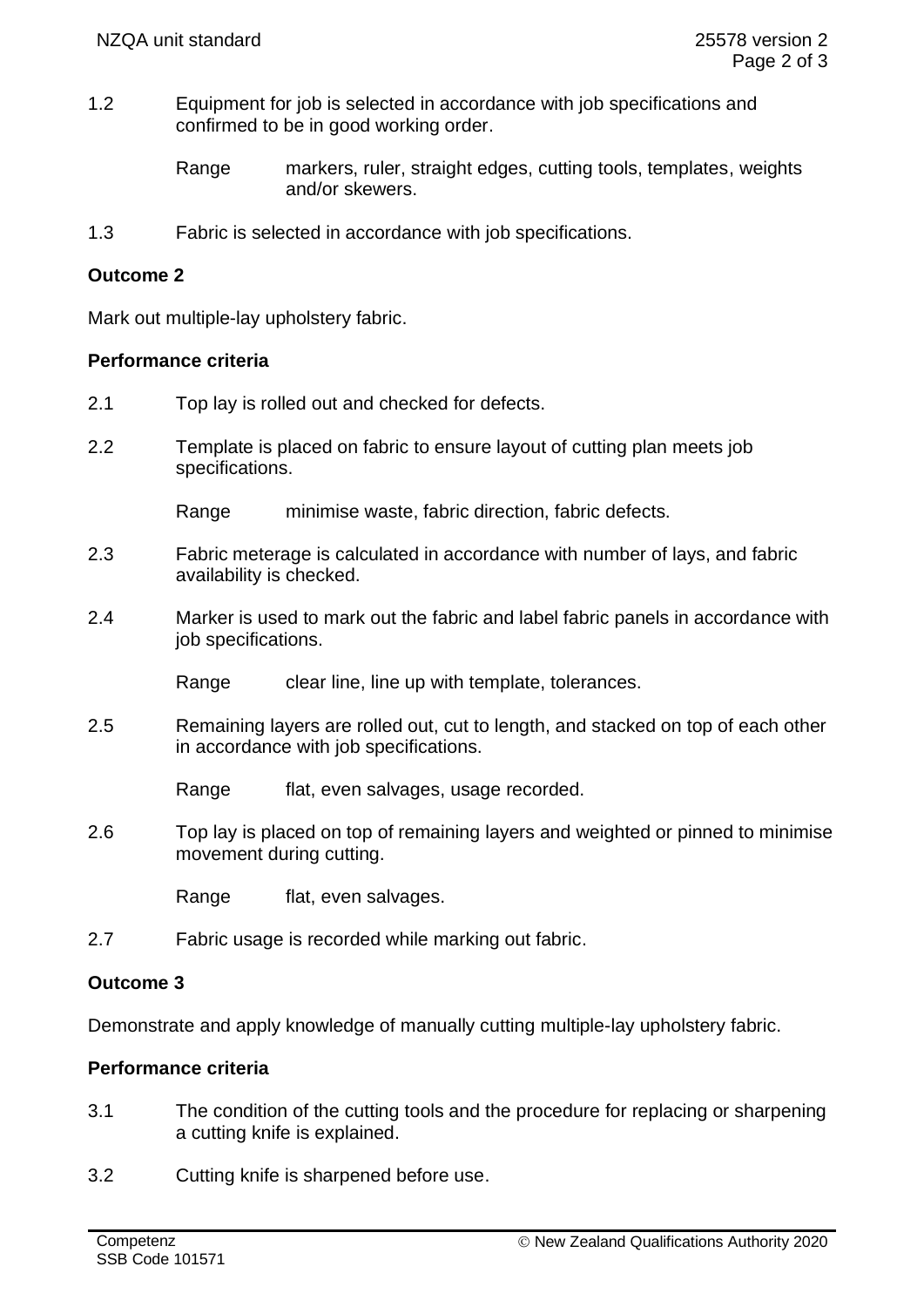1.2 Equipment for job is selected in accordance with job specifications and confirmed to be in good working order.

> Range markers, ruler, straight edges, cutting tools, templates, weights and/or skewers.

1.3 Fabric is selected in accordance with job specifications.

## **Outcome 2**

Mark out multiple-lay upholstery fabric.

### **Performance criteria**

- 2.1 Top lay is rolled out and checked for defects.
- 2.2 Template is placed on fabric to ensure layout of cutting plan meets job specifications.

Range minimise waste, fabric direction, fabric defects.

- 2.3 Fabric meterage is calculated in accordance with number of lays, and fabric availability is checked.
- 2.4 Marker is used to mark out the fabric and label fabric panels in accordance with job specifications.

Range clear line, line up with template, tolerances.

2.5 Remaining layers are rolled out, cut to length, and stacked on top of each other in accordance with job specifications.

Range flat, even salvages, usage recorded.

2.6 Top lay is placed on top of remaining layers and weighted or pinned to minimise movement during cutting.

Range flat, even salvages.

2.7 Fabric usage is recorded while marking out fabric.

### **Outcome 3**

Demonstrate and apply knowledge of manually cutting multiple-lay upholstery fabric.

# **Performance criteria**

- 3.1 The condition of the cutting tools and the procedure for replacing or sharpening a cutting knife is explained.
- 3.2 Cutting knife is sharpened before use.